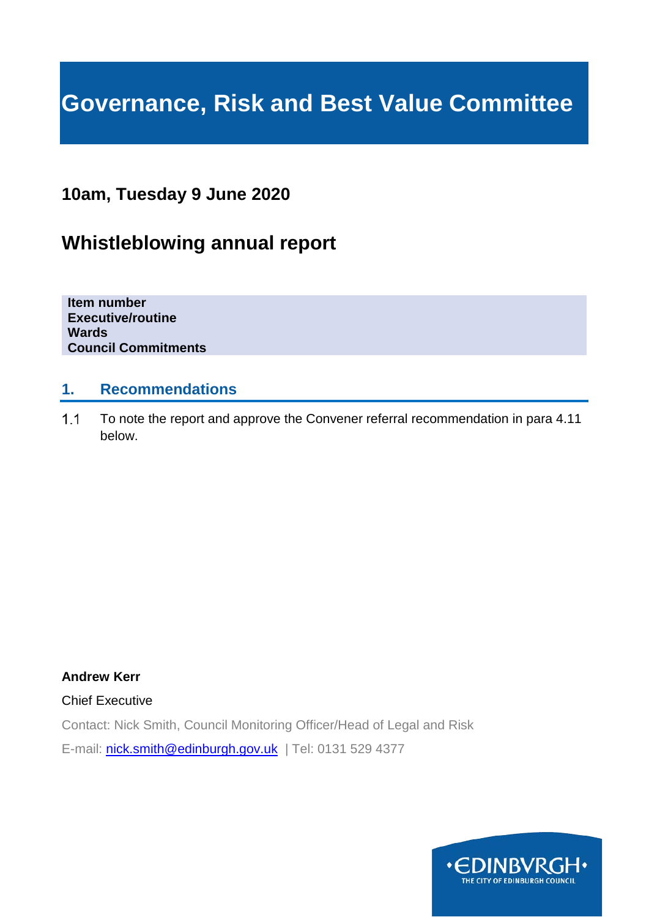# **Governance, Risk and Best Value Committee**

# **10am, Tuesday 9 June 2020**

# **Whistleblowing annual report**

**Item number Executive/routine Wards Council Commitments**

### **1. Recommendations**

 $1.1$ To note the report and approve the Convener referral recommendation in para 4.11 below.

**Andrew Kerr**

Chief Executive

Contact: Nick Smith, Council Monitoring Officer/Head of Legal and Risk

E-mail: [nick.smith@edinburgh.gov.uk](mailto:nick.smith@edinburgh.gov.uk) | Tel: 0131 529 4377

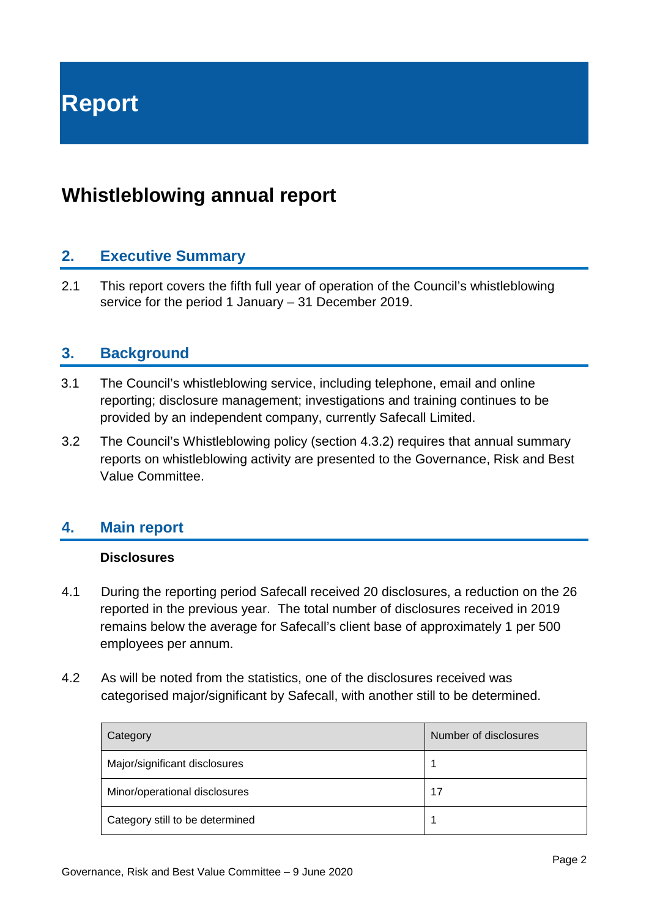# **Whistleblowing annual report**

# **2. Executive Summary**

2.1 This report covers the fifth full year of operation of the Council's whistleblowing service for the period 1 January – 31 December 2019.

### **3. Background**

- 3.1 The Council's whistleblowing service, including telephone, email and online reporting; disclosure management; investigations and training continues to be provided by an independent company, currently Safecall Limited.
- 3.2 The Council's Whistleblowing policy (section 4.3.2) requires that annual summary reports on whistleblowing activity are presented to the Governance, Risk and Best Value Committee.

### **4. Main report**

#### **Disclosures**

- 4.1 During the reporting period Safecall received 20 disclosures, a reduction on the 26 reported in the previous year. The total number of disclosures received in 2019 remains below the average for Safecall's client base of approximately 1 per 500 employees per annum.
- 4.2 As will be noted from the statistics, one of the disclosures received was categorised major/significant by Safecall, with another still to be determined.

| Category                        | Number of disclosures |
|---------------------------------|-----------------------|
| Major/significant disclosures   |                       |
| Minor/operational disclosures   | 17                    |
| Category still to be determined |                       |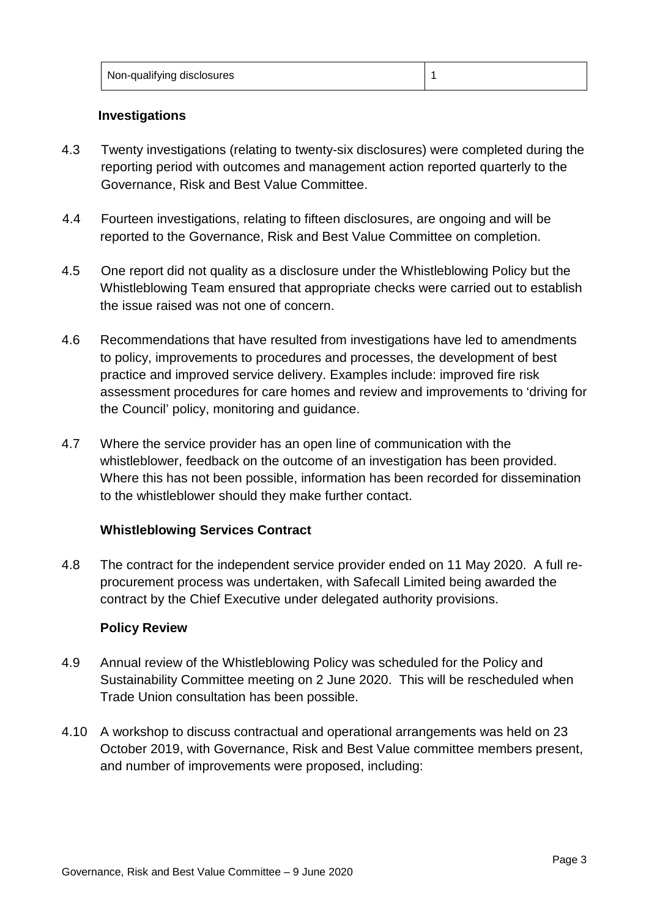Non-qualifying disclosures 1

#### **Investigations**

- 4.3 Twenty investigations (relating to twenty-six disclosures) were completed during the reporting period with outcomes and management action reported quarterly to the Governance, Risk and Best Value Committee.
- 4.4 Fourteen investigations, relating to fifteen disclosures, are ongoing and will be reported to the Governance, Risk and Best Value Committee on completion.
- 4.5 One report did not quality as a disclosure under the Whistleblowing Policy but the Whistleblowing Team ensured that appropriate checks were carried out to establish the issue raised was not one of concern.
- 4.6 Recommendations that have resulted from investigations have led to amendments to policy, improvements to procedures and processes, the development of best practice and improved service delivery. Examples include: improved fire risk assessment procedures for care homes and review and improvements to 'driving for the Council' policy, monitoring and guidance.
- 4.7 Where the service provider has an open line of communication with the whistleblower, feedback on the outcome of an investigation has been provided. Where this has not been possible, information has been recorded for dissemination to the whistleblower should they make further contact.

#### **Whistleblowing Services Contract**

4.8 The contract for the independent service provider ended on 11 May 2020. A full reprocurement process was undertaken, with Safecall Limited being awarded the contract by the Chief Executive under delegated authority provisions.

#### **Policy Review**

- 4.9 Annual review of the Whistleblowing Policy was scheduled for the Policy and Sustainability Committee meeting on 2 June 2020. This will be rescheduled when Trade Union consultation has been possible.
- 4.10 A workshop to discuss contractual and operational arrangements was held on 23 October 2019, with Governance, Risk and Best Value committee members present, and number of improvements were proposed, including: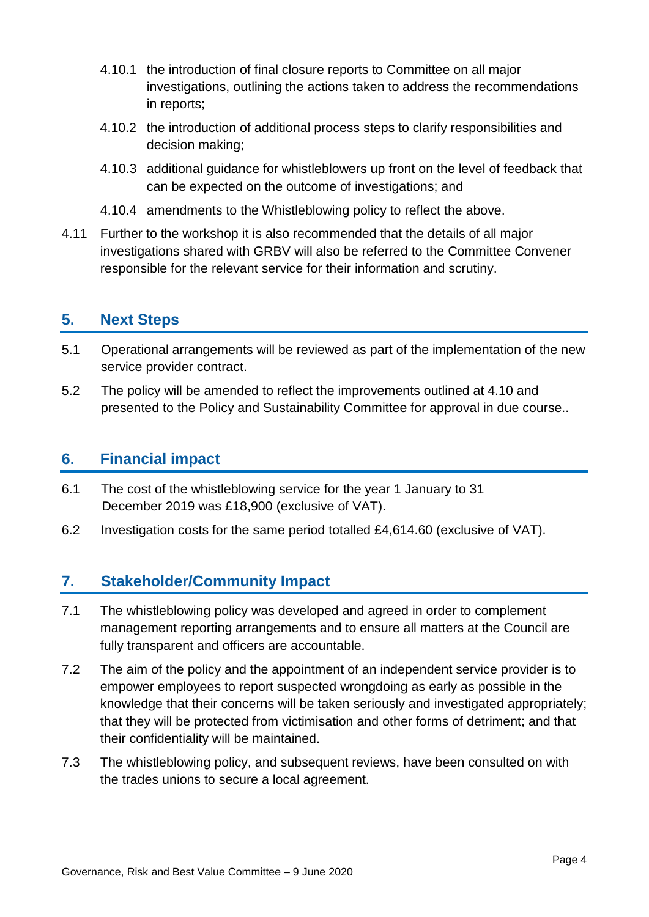- 4.10.1 the introduction of final closure reports to Committee on all major investigations, outlining the actions taken to address the recommendations in reports;
- 4.10.2 the introduction of additional process steps to clarify responsibilities and decision making;
- 4.10.3 additional guidance for whistleblowers up front on the level of feedback that can be expected on the outcome of investigations; and
- 4.10.4 amendments to the Whistleblowing policy to reflect the above.
- 4.11 Further to the workshop it is also recommended that the details of all major investigations shared with GRBV will also be referred to the Committee Convener responsible for the relevant service for their information and scrutiny.

### **5. Next Steps**

- 5.1 Operational arrangements will be reviewed as part of the implementation of the new service provider contract.
- 5.2 The policy will be amended to reflect the improvements outlined at 4.10 and presented to the Policy and Sustainability Committee for approval in due course..

### **6. Financial impact**

- 6.1 The cost of the whistleblowing service for the year 1 January to 31 December 2019 was £18,900 (exclusive of VAT).
- 6.2 Investigation costs for the same period totalled £4,614.60 (exclusive of VAT).

# **7. Stakeholder/Community Impact**

- 7.1 The whistleblowing policy was developed and agreed in order to complement management reporting arrangements and to ensure all matters at the Council are fully transparent and officers are accountable.
- 7.2 The aim of the policy and the appointment of an independent service provider is to empower employees to report suspected wrongdoing as early as possible in the knowledge that their concerns will be taken seriously and investigated appropriately; that they will be protected from victimisation and other forms of detriment; and that their confidentiality will be maintained.
- 7.3 The whistleblowing policy, and subsequent reviews, have been consulted on with the trades unions to secure a local agreement.